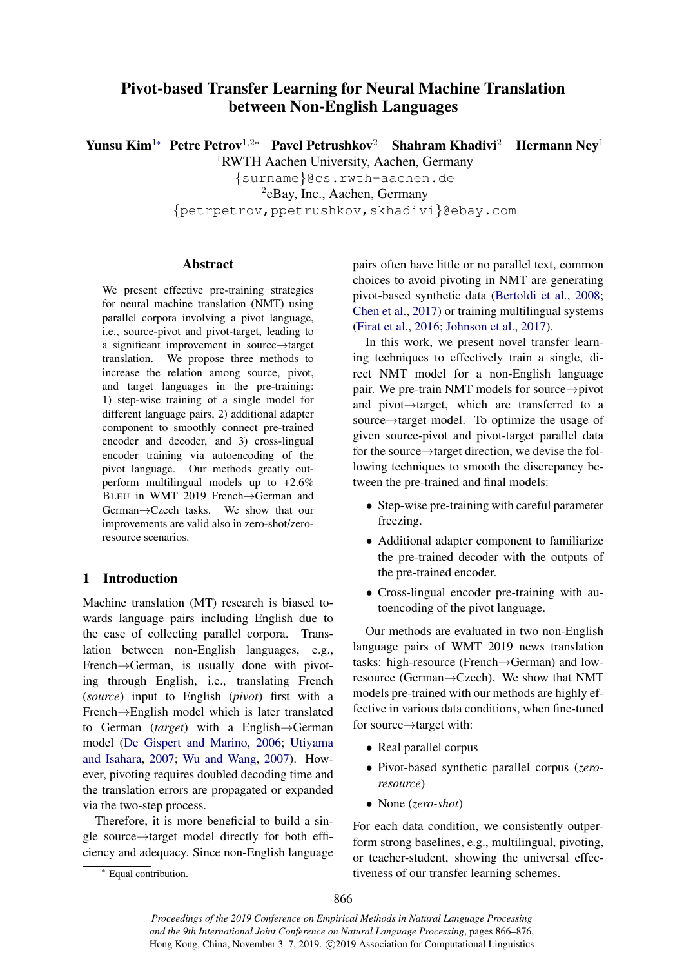# Pivot-based Transfer Learning for Neural Machine Translation between Non-English Languages

Yunsu Kim<sup>1∗</sup> Petre Petrov<sup>1,2</sup>\* Pavel Petrushkov<sup>2</sup> Shahram Khadivi<sup>2</sup> Hermann Nev<sup>1</sup>

<sup>1</sup>RWTH Aachen University, Aachen, Germany

{surname}@cs.rwth-aachen.de

2 eBay, Inc., Aachen, Germany

{petrpetrov,ppetrushkov,skhadivi}@ebay.com

# Abstract

We present effective pre-training strategies for neural machine translation (NMT) using parallel corpora involving a pivot language, i.e., source-pivot and pivot-target, leading to a significant improvement in source→target translation. We propose three methods to increase the relation among source, pivot, and target languages in the pre-training: 1) step-wise training of a single model for different language pairs, 2) additional adapter component to smoothly connect pre-trained encoder and decoder, and 3) cross-lingual encoder training via autoencoding of the pivot language. Our methods greatly outperform multilingual models up to +2.6% BLEU in WMT 2019 French→German and German→Czech tasks. We show that our improvements are valid also in zero-shot/zeroresource scenarios.

# 1 Introduction

Machine translation (MT) research is biased towards language pairs including English due to the ease of collecting parallel corpora. Translation between non-English languages, e.g., French→German, is usually done with pivoting through English, i.e., translating French (*source*) input to English (*pivot*) first with a French→English model which is later translated to German (*target*) with a English→German model [\(De Gispert and Marino,](#page-9-0) [2006;](#page-9-0) [Utiyama](#page-10-0) [and Isahara,](#page-10-0) [2007;](#page-10-0) [Wu and Wang,](#page-10-1) [2007\)](#page-10-1). However, pivoting requires doubled decoding time and the translation errors are propagated or expanded via the two-step process.

Therefore, it is more beneficial to build a single source→target model directly for both efficiency and adequacy. Since non-English language

<sup>∗</sup> Equal contribution.

pairs often have little or no parallel text, common choices to avoid pivoting in NMT are generating pivot-based synthetic data [\(Bertoldi et al.,](#page-8-0) [2008;](#page-8-0) [Chen et al.,](#page-8-1) [2017\)](#page-8-1) or training multilingual systems [\(Firat et al.,](#page-9-1) [2016;](#page-9-1) [Johnson et al.,](#page-9-2) [2017\)](#page-9-2).

In this work, we present novel transfer learning techniques to effectively train a single, direct NMT model for a non-English language pair. We pre-train NMT models for source→pivot and pivot→target, which are transferred to a source→target model. To optimize the usage of given source-pivot and pivot-target parallel data for the source→target direction, we devise the following techniques to smooth the discrepancy between the pre-trained and final models:

- Step-wise pre-training with careful parameter freezing.
- Additional adapter component to familiarize the pre-trained decoder with the outputs of the pre-trained encoder.
- Cross-lingual encoder pre-training with autoencoding of the pivot language.

Our methods are evaluated in two non-English language pairs of WMT 2019 news translation tasks: high-resource (French→German) and lowresource (German→Czech). We show that NMT models pre-trained with our methods are highly effective in various data conditions, when fine-tuned for source→target with:

- Real parallel corpus
- Pivot-based synthetic parallel corpus (*zeroresource*)
- None (*zero-shot*)

For each data condition, we consistently outperform strong baselines, e.g., multilingual, pivoting, or teacher-student, showing the universal effectiveness of our transfer learning schemes.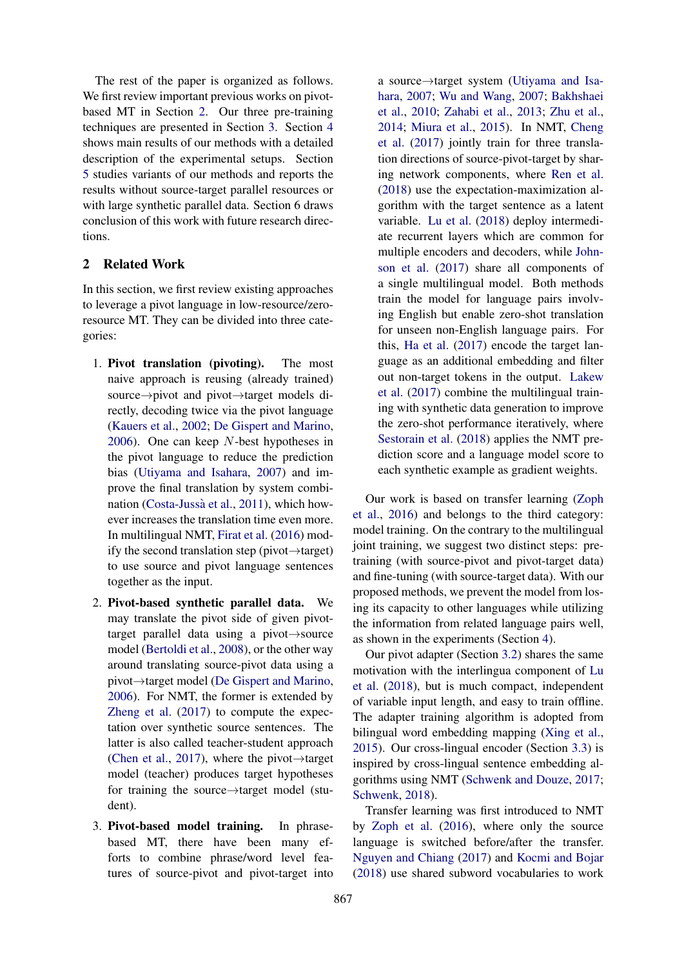The rest of the paper is organized as follows. We first review important previous works on pivotbased MT in Section [2.](#page-1-0) Our three pre-training techniques are presented in Section [3.](#page-2-0) Section [4](#page-4-0) shows main results of our methods with a detailed description of the experimental setups. Section [5](#page-6-0) studies variants of our methods and reports the results without source-target parallel resources or with large synthetic parallel data. Section 6 draws conclusion of this work with future research directions.

## <span id="page-1-0"></span>2 Related Work

In this section, we first review existing approaches to leverage a pivot language in low-resource/zeroresource MT. They can be divided into three categories:

- <span id="page-1-1"></span>1. Pivot translation (pivoting). The most naive approach is reusing (already trained) source→pivot and pivot→target models directly, decoding twice via the pivot language [\(Kauers et al.,](#page-9-3) [2002;](#page-9-3) [De Gispert and Marino,](#page-9-0) [2006\)](#page-9-0). One can keep N-best hypotheses in the pivot language to reduce the prediction bias [\(Utiyama and Isahara,](#page-10-0) [2007\)](#page-10-0) and improve the final translation by system combi-nation (Costa-Jussà et al., [2011\)](#page-9-4), which however increases the translation time even more. In multilingual NMT, [Firat et al.](#page-9-1) [\(2016\)](#page-9-1) modify the second translation step (pivot→target) to use source and pivot language sentences together as the input.
- <span id="page-1-2"></span>2. Pivot-based synthetic parallel data. We may translate the pivot side of given pivottarget parallel data using a pivot→source model [\(Bertoldi et al.,](#page-8-0) [2008\)](#page-8-0), or the other way around translating source-pivot data using a pivot→target model [\(De Gispert and Marino,](#page-9-0) [2006\)](#page-9-0). For NMT, the former is extended by [Zheng et al.](#page-10-2) [\(2017\)](#page-10-2) to compute the expectation over synthetic source sentences. The latter is also called teacher-student approach [\(Chen et al.,](#page-8-1) [2017\)](#page-8-1), where the pivot $\rightarrow$ target model (teacher) produces target hypotheses for training the source→target model (student).
- 3. Pivot-based model training. In phrasebased MT, there have been many efforts to combine phrase/word level features of source-pivot and pivot-target into

a source→target system [\(Utiyama and Isa](#page-10-0)[hara,](#page-10-0) [2007;](#page-10-0) [Wu and Wang,](#page-10-1) [2007;](#page-10-1) [Bakhshaei](#page-8-2) [et al.,](#page-8-2) [2010;](#page-8-2) [Zahabi et al.,](#page-10-3) [2013;](#page-10-3) [Zhu et al.,](#page-10-4) [2014;](#page-10-4) [Miura et al.,](#page-9-5) [2015\)](#page-9-5). In NMT, [Cheng](#page-9-6) [et al.](#page-9-6) [\(2017\)](#page-9-6) jointly train for three translation directions of source-pivot-target by sharing network components, where [Ren et al.](#page-10-5) [\(2018\)](#page-10-5) use the expectation-maximization algorithm with the target sentence as a latent variable. [Lu et al.](#page-9-7) [\(2018\)](#page-9-7) deploy intermediate recurrent layers which are common for multiple encoders and decoders, while [John](#page-9-2)[son et al.](#page-9-2) [\(2017\)](#page-9-2) share all components of a single multilingual model. Both methods train the model for language pairs involving English but enable zero-shot translation for unseen non-English language pairs. For this, [Ha et al.](#page-9-8) [\(2017\)](#page-9-8) encode the target language as an additional embedding and filter out non-target tokens in the output. [Lakew](#page-9-9) [et al.](#page-9-9) [\(2017\)](#page-9-9) combine the multilingual training with synthetic data generation to improve the zero-shot performance iteratively, where [Sestorain et al.](#page-10-6) [\(2018\)](#page-10-6) applies the NMT prediction score and a language model score to each synthetic example as gradient weights.

Our work is based on transfer learning [\(Zoph](#page-10-7) [et al.,](#page-10-7) [2016\)](#page-10-7) and belongs to the third category: model training. On the contrary to the multilingual joint training, we suggest two distinct steps: pretraining (with source-pivot and pivot-target data) and fine-tuning (with source-target data). With our proposed methods, we prevent the model from losing its capacity to other languages while utilizing the information from related language pairs well, as shown in the experiments (Section [4\)](#page-4-0).

Our pivot adapter (Section [3.2\)](#page-3-0) shares the same motivation with the interlingua component of [Lu](#page-9-7) [et al.](#page-9-7) [\(2018\)](#page-9-7), but is much compact, independent of variable input length, and easy to train offline. The adapter training algorithm is adopted from bilingual word embedding mapping [\(Xing et al.,](#page-10-8) [2015\)](#page-10-8). Our cross-lingual encoder (Section [3.3\)](#page-3-1) is inspired by cross-lingual sentence embedding algorithms using NMT [\(Schwenk and Douze,](#page-10-9) [2017;](#page-10-9) [Schwenk,](#page-10-10) [2018\)](#page-10-10).

Transfer learning was first introduced to NMT by [Zoph et al.](#page-10-7) [\(2016\)](#page-10-7), where only the source language is switched before/after the transfer. [Nguyen and Chiang](#page-9-10) [\(2017\)](#page-9-10) and [Kocmi and Bojar](#page-9-11) [\(2018\)](#page-9-11) use shared subword vocabularies to work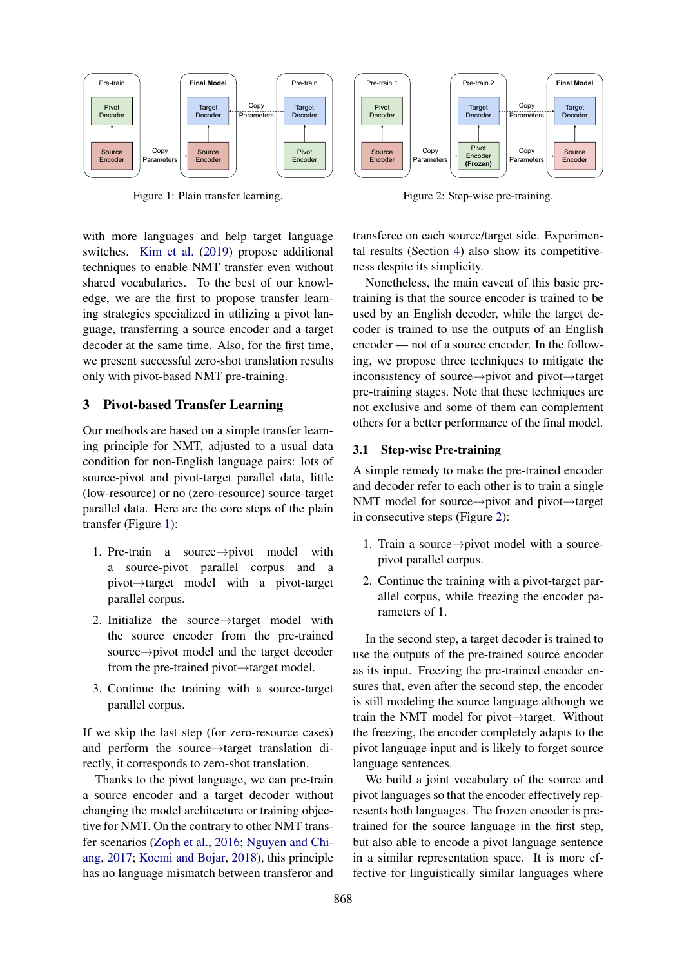<span id="page-2-1"></span>

Figure 1: Plain transfer learning.

with more languages and help target language switches. [Kim et al.](#page-9-12) [\(2019\)](#page-9-12) propose additional techniques to enable NMT transfer even without shared vocabularies. To the best of our knowledge, we are the first to propose transfer learning strategies specialized in utilizing a pivot language, transferring a source encoder and a target decoder at the same time. Also, for the first time, we present successful zero-shot translation results only with pivot-based NMT pre-training.

#### <span id="page-2-0"></span>3 Pivot-based Transfer Learning

Our methods are based on a simple transfer learning principle for NMT, adjusted to a usual data condition for non-English language pairs: lots of source-pivot and pivot-target parallel data, little (low-resource) or no (zero-resource) source-target parallel data. Here are the core steps of the plain transfer (Figure [1\)](#page-2-1):

- 1. Pre-train a source→pivot model with a source-pivot parallel corpus and a pivot→target model with a pivot-target parallel corpus.
- 2. Initialize the source→target model with the source encoder from the pre-trained source→pivot model and the target decoder from the pre-trained pivot→target model.
- 3. Continue the training with a source-target parallel corpus.

If we skip the last step (for zero-resource cases) and perform the source→target translation directly, it corresponds to zero-shot translation.

Thanks to the pivot language, we can pre-train a source encoder and a target decoder without changing the model architecture or training objective for NMT. On the contrary to other NMT transfer scenarios [\(Zoph et al.,](#page-10-7) [2016;](#page-10-7) [Nguyen and Chi](#page-9-10)[ang,](#page-9-10) [2017;](#page-9-10) [Kocmi and Bojar,](#page-9-11) [2018\)](#page-9-11), this principle has no language mismatch between transferor and

<span id="page-2-2"></span>

Figure 2: Step-wise pre-training.

transferee on each source/target side. Experimental results (Section [4\)](#page-4-0) also show its competitiveness despite its simplicity.

Nonetheless, the main caveat of this basic pretraining is that the source encoder is trained to be used by an English decoder, while the target decoder is trained to use the outputs of an English encoder — not of a source encoder. In the following, we propose three techniques to mitigate the inconsistency of source→pivot and pivot→target pre-training stages. Note that these techniques are not exclusive and some of them can complement others for a better performance of the final model.

## <span id="page-2-3"></span>3.1 Step-wise Pre-training

A simple remedy to make the pre-trained encoder and decoder refer to each other is to train a single NMT model for source→pivot and pivot→target in consecutive steps (Figure [2\)](#page-2-2):

- 1. Train a source→pivot model with a sourcepivot parallel corpus.
- 2. Continue the training with a pivot-target parallel corpus, while freezing the encoder parameters of 1.

In the second step, a target decoder is trained to use the outputs of the pre-trained source encoder as its input. Freezing the pre-trained encoder ensures that, even after the second step, the encoder is still modeling the source language although we train the NMT model for pivot→target. Without the freezing, the encoder completely adapts to the pivot language input and is likely to forget source language sentences.

We build a joint vocabulary of the source and pivot languages so that the encoder effectively represents both languages. The frozen encoder is pretrained for the source language in the first step, but also able to encode a pivot language sentence in a similar representation space. It is more effective for linguistically similar languages where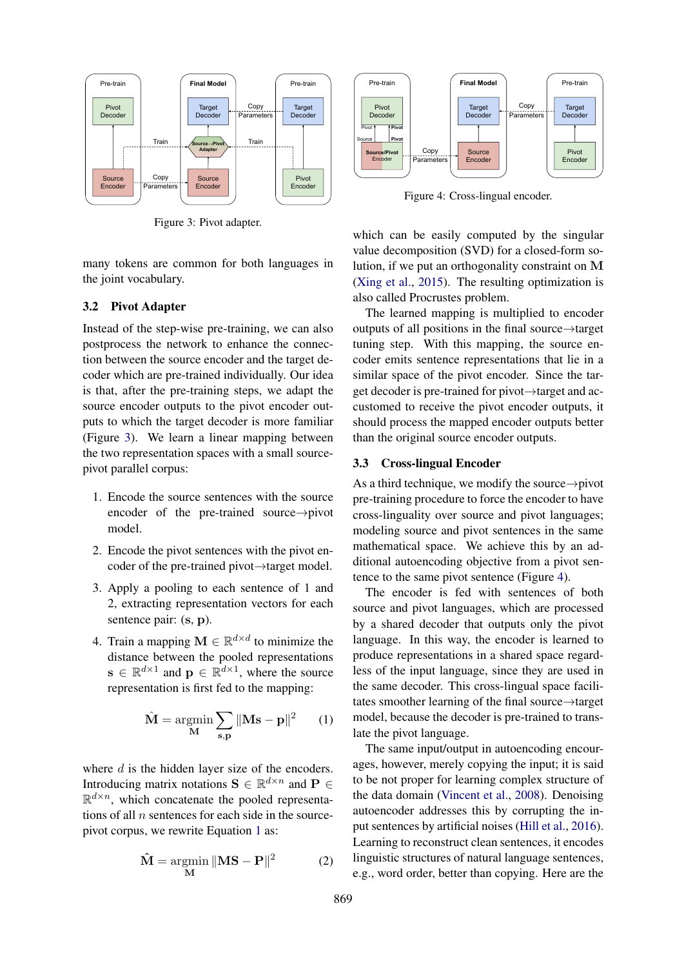<span id="page-3-2"></span>

Figure 3: Pivot adapter.

<span id="page-3-4"></span>Pre-train **Final Model** Pivot Decode Source Encoder Target Decode Copy Parameters Pre-train Pivot Encode Target Decode Copy Parameters **Source/Pivot** Encode Source | Pivot **Pivot Pivot**

Figure 4: Cross-lingual encoder.

many tokens are common for both languages in the joint vocabulary.

#### <span id="page-3-0"></span>3.2 Pivot Adapter

Instead of the step-wise pre-training, we can also postprocess the network to enhance the connection between the source encoder and the target decoder which are pre-trained individually. Our idea is that, after the pre-training steps, we adapt the source encoder outputs to the pivot encoder outputs to which the target decoder is more familiar (Figure [3\)](#page-3-2). We learn a linear mapping between the two representation spaces with a small sourcepivot parallel corpus:

- 1. Encode the source sentences with the source encoder of the pre-trained source→pivot model.
- 2. Encode the pivot sentences with the pivot encoder of the pre-trained pivot→target model.
- 3. Apply a pooling to each sentence of 1 and 2, extracting representation vectors for each sentence pair:  $(s, p)$ .
- 4. Train a mapping  $\mathbf{M} \in \mathbb{R}^{d \times d}$  to minimize the distance between the pooled representations  $\mathbf{s} \in \mathbb{R}^{d \times 1}$  and  $\mathbf{p} \in \mathbb{R}^{d \times 1}$ , where the source representation is first fed to the mapping:

$$
\hat{\mathbf{M}} = \underset{\mathbf{M}}{\operatorname{argmin}} \sum_{\mathbf{s}, \mathbf{p}} \|\mathbf{M}\mathbf{s} - \mathbf{p}\|^2 \qquad (1)
$$

where d is the hidden layer size of the encoders. Introducing matrix notations  $\mathbf{S} \in \mathbb{R}^{d \times n}$  and  $\mathbf{P} \in$  $\mathbb{R}^{d \times n}$ , which concatenate the pooled representations of all  $n$  sentences for each side in the sourcepivot corpus, we rewrite Equation [1](#page-3-3) as:

$$
\hat{\mathbf{M}} = \underset{\mathbf{M}}{\operatorname{argmin}} \|\mathbf{M}\mathbf{S} - \mathbf{P}\|^2 \tag{2}
$$

which can be easily computed by the singular value decomposition (SVD) for a closed-form solution, if we put an orthogonality constraint on M [\(Xing et al.,](#page-10-8) [2015\)](#page-10-8). The resulting optimization is also called Procrustes problem.

The learned mapping is multiplied to encoder outputs of all positions in the final source→target tuning step. With this mapping, the source encoder emits sentence representations that lie in a similar space of the pivot encoder. Since the target decoder is pre-trained for pivot→target and accustomed to receive the pivot encoder outputs, it should process the mapped encoder outputs better than the original source encoder outputs.

#### <span id="page-3-1"></span>3.3 Cross-lingual Encoder

As a third technique, we modify the source $\rightarrow$ pivot pre-training procedure to force the encoder to have cross-linguality over source and pivot languages; modeling source and pivot sentences in the same mathematical space. We achieve this by an additional autoencoding objective from a pivot sentence to the same pivot sentence (Figure [4\)](#page-3-4).

The encoder is fed with sentences of both source and pivot languages, which are processed by a shared decoder that outputs only the pivot language. In this way, the encoder is learned to produce representations in a shared space regardless of the input language, since they are used in the same decoder. This cross-lingual space facilitates smoother learning of the final source→target model, because the decoder is pre-trained to translate the pivot language.

<span id="page-3-3"></span>The same input/output in autoencoding encourages, however, merely copying the input; it is said to be not proper for learning complex structure of the data domain [\(Vincent et al.,](#page-10-11) [2008\)](#page-10-11). Denoising autoencoder addresses this by corrupting the input sentences by artificial noises [\(Hill et al.,](#page-9-13) [2016\)](#page-9-13). Learning to reconstruct clean sentences, it encodes linguistic structures of natural language sentences, e.g., word order, better than copying. Here are the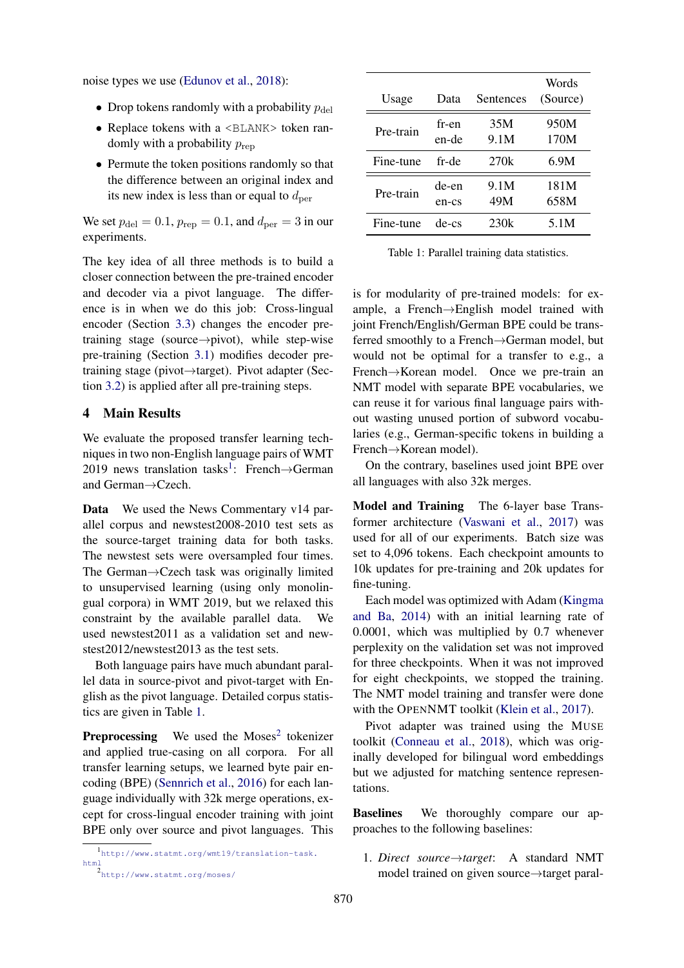noise types we use [\(Edunov et al.,](#page-9-14) [2018\)](#page-9-14):

- Drop tokens randomly with a probability  $p_{\text{del}}$
- Replace tokens with a <BLANK> token randomly with a probability  $p_{\text{rep}}$
- Permute the token positions randomly so that the difference between an original index and its new index is less than or equal to  $d_{\text{per}}$

We set  $p_{\text{del}} = 0.1$ ,  $p_{\text{rep}} = 0.1$ , and  $d_{\text{per}} = 3$  in our experiments.

The key idea of all three methods is to build a closer connection between the pre-trained encoder and decoder via a pivot language. The difference is in when we do this job: Cross-lingual encoder (Section [3.3\)](#page-3-1) changes the encoder pretraining stage (source→pivot), while step-wise pre-training (Section [3.1\)](#page-2-3) modifies decoder pretraining stage (pivot→target). Pivot adapter (Section [3.2\)](#page-3-0) is applied after all pre-training steps.

# <span id="page-4-0"></span>4 Main Results

We evaluate the proposed transfer learning techniques in two non-English language pairs of WMT 20[1](#page-4-1)9 news translation tasks<sup>1</sup>: French $\rightarrow$ German and German→Czech.

Data We used the News Commentary v14 parallel corpus and newstest2008-2010 test sets as the source-target training data for both tasks. The newstest sets were oversampled four times. The German→Czech task was originally limited to unsupervised learning (using only monolingual corpora) in WMT 2019, but we relaxed this constraint by the available parallel data. We used newstest2011 as a validation set and newstest2012/newstest2013 as the test sets.

Both language pairs have much abundant parallel data in source-pivot and pivot-target with English as the pivot language. Detailed corpus statistics are given in Table [1.](#page-4-2)

**Preprocessing** We used the Moses<sup>[2](#page-4-3)</sup> tokenizer and applied true-casing on all corpora. For all transfer learning setups, we learned byte pair encoding (BPE) [\(Sennrich et al.,](#page-10-12) [2016\)](#page-10-12) for each language individually with 32k merge operations, except for cross-lingual encoder training with joint BPE only over source and pivot languages. This

<span id="page-4-1"></span><sup>1</sup> [http://www.statmt.org/wmt19/translation-task.](http://www.statmt.org/wmt19/translation-task.html) [html](http://www.statmt.org/wmt19/translation-task.html) 2

<span id="page-4-3"></span>

|  |  |  |  |  | http://www.statmt.org/moses/ |  |  |  |
|--|--|--|--|--|------------------------------|--|--|--|
|--|--|--|--|--|------------------------------|--|--|--|

<span id="page-4-2"></span>

| Usage     | Data           | Sentences   | Words<br>(Source) |
|-----------|----------------|-------------|-------------------|
| Pre-train | fr-en<br>en-de | 35M<br>9.1M | 950M<br>170M      |
| Fine-tune | fr-de          | 270k        | 6.9M              |
| Pre-train | de-en<br>en-cs | 9.1M<br>49M | 181M<br>658M      |
| Fine-tune | de-cs          | 230k        | 5.1M              |

Table 1: Parallel training data statistics.

is for modularity of pre-trained models: for example, a French→English model trained with joint French/English/German BPE could be transferred smoothly to a French→German model, but would not be optimal for a transfer to e.g., a French→Korean model. Once we pre-train an NMT model with separate BPE vocabularies, we can reuse it for various final language pairs without wasting unused portion of subword vocabularies (e.g., German-specific tokens in building a French→Korean model).

On the contrary, baselines used joint BPE over all languages with also 32k merges.

Model and Training The 6-layer base Transformer architecture [\(Vaswani et al.,](#page-10-13) [2017\)](#page-10-13) was used for all of our experiments. Batch size was set to 4,096 tokens. Each checkpoint amounts to 10k updates for pre-training and 20k updates for fine-tuning.

Each model was optimized with Adam [\(Kingma](#page-9-15) [and Ba,](#page-9-15) [2014\)](#page-9-15) with an initial learning rate of 0.0001, which was multiplied by 0.7 whenever perplexity on the validation set was not improved for three checkpoints. When it was not improved for eight checkpoints, we stopped the training. The NMT model training and transfer were done with the OPENNMT toolkit [\(Klein et al.,](#page-9-16) [2017\)](#page-9-16).

Pivot adapter was trained using the MUSE toolkit [\(Conneau et al.,](#page-9-17) [2018\)](#page-9-17), which was originally developed for bilingual word embeddings but we adjusted for matching sentence representations.

Baselines We thoroughly compare our approaches to the following baselines:

1. *Direct source*→*target*: A standard NMT model trained on given source→target paral-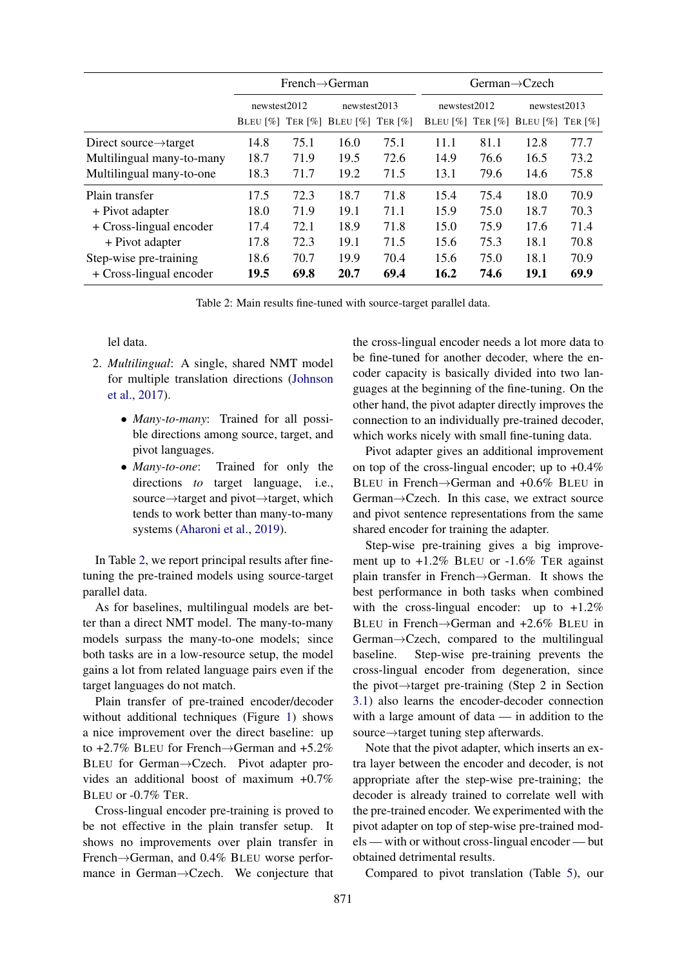<span id="page-5-0"></span>

|                                    | $French \rightarrow German$ |      |                                   |      | German $\rightarrow$ Czech |      |                                   |      |
|------------------------------------|-----------------------------|------|-----------------------------------|------|----------------------------|------|-----------------------------------|------|
|                                    | newstest2012                |      | newstest2013                      |      | newstest2012               |      | newstest2013                      |      |
|                                    |                             |      | BLEU [%] TER [%] BLEU [%] TER [%] |      |                            |      | BLEU [%] TER [%] BLEU [%] TER [%] |      |
| Direct source $\rightarrow$ target | 14.8                        | 75.1 | 16.0                              | 75.1 | 11.1                       | 81.1 | 12.8                              | 77.7 |
| Multilingual many-to-many          | 18.7                        | 71.9 | 19.5                              | 72.6 | 14.9                       | 76.6 | 16.5                              | 73.2 |
| Multilingual many-to-one           | 18.3                        | 71.7 | 19.2                              | 71.5 | 13.1                       | 79.6 | 14.6                              | 75.8 |
| Plain transfer                     | 17.5                        | 72.3 | 18.7                              | 71.8 | 15.4                       | 75.4 | 18.0                              | 70.9 |
| + Pivot adapter                    | 18.0                        | 71.9 | 19.1                              | 71.1 | 15.9                       | 75.0 | 18.7                              | 70.3 |
| + Cross-lingual encoder            | 17.4                        | 72.1 | 18.9                              | 71.8 | 15.0                       | 75.9 | 17.6                              | 71.4 |
| + Pivot adapter                    | 17.8                        | 72.3 | 19.1                              | 71.5 | 15.6                       | 75.3 | 18.1                              | 70.8 |
| Step-wise pre-training             | 18.6                        | 70.7 | 19.9                              | 70.4 | 15.6                       | 75.0 | 18.1                              | 70.9 |
| + Cross-lingual encoder            | 19.5                        | 69.8 | 20.7                              | 69.4 | 16.2                       | 74.6 | 19.1                              | 69.9 |

Table 2: Main results fine-tuned with source-target parallel data.

## lel data.

- 2. *Multilingual*: A single, shared NMT model for multiple translation directions [\(Johnson](#page-9-2) [et al.,](#page-9-2) [2017\)](#page-9-2).
	- *Many-to-many*: Trained for all possible directions among source, target, and pivot languages.
	- *Many-to-one*: Trained for only the directions *to* target language, i.e., source→target and pivot→target, which tends to work better than many-to-many systems [\(Aharoni et al.,](#page-8-3) [2019\)](#page-8-3).

In Table [2,](#page-5-0) we report principal results after finetuning the pre-trained models using source-target parallel data.

As for baselines, multilingual models are better than a direct NMT model. The many-to-many models surpass the many-to-one models; since both tasks are in a low-resource setup, the model gains a lot from related language pairs even if the target languages do not match.

Plain transfer of pre-trained encoder/decoder without additional techniques (Figure [1\)](#page-2-1) shows a nice improvement over the direct baseline: up to  $+2.7\%$  BLEU for French $\rightarrow$ German and  $+5.2\%$ BLEU for German→Czech. Pivot adapter provides an additional boost of maximum +0.7% BLEU or -0.7% TER.

Cross-lingual encoder pre-training is proved to be not effective in the plain transfer setup. It shows no improvements over plain transfer in French→German, and 0.4% BLEU worse performance in German→Czech. We conjecture that the cross-lingual encoder needs a lot more data to be fine-tuned for another decoder, where the encoder capacity is basically divided into two languages at the beginning of the fine-tuning. On the other hand, the pivot adapter directly improves the connection to an individually pre-trained decoder, which works nicely with small fine-tuning data.

Pivot adapter gives an additional improvement on top of the cross-lingual encoder; up to +0.4% BLEU in French→German and +0.6% BLEU in German→Czech. In this case, we extract source and pivot sentence representations from the same shared encoder for training the adapter.

Step-wise pre-training gives a big improvement up to  $+1.2\%$  BLEU or  $-1.6\%$  TER against plain transfer in French→German. It shows the best performance in both tasks when combined with the cross-lingual encoder: up to  $+1.2\%$ BLEU in French→German and +2.6% BLEU in German→Czech, compared to the multilingual baseline. Step-wise pre-training prevents the cross-lingual encoder from degeneration, since the pivot→target pre-training (Step 2 in Section [3.1\)](#page-2-3) also learns the encoder-decoder connection with a large amount of data — in addition to the source→target tuning step afterwards.

Note that the pivot adapter, which inserts an extra layer between the encoder and decoder, is not appropriate after the step-wise pre-training; the decoder is already trained to correlate well with the pre-trained encoder. We experimented with the pivot adapter on top of step-wise pre-trained models — with or without cross-lingual encoder — but obtained detrimental results.

Compared to pivot translation (Table [5\)](#page-7-0), our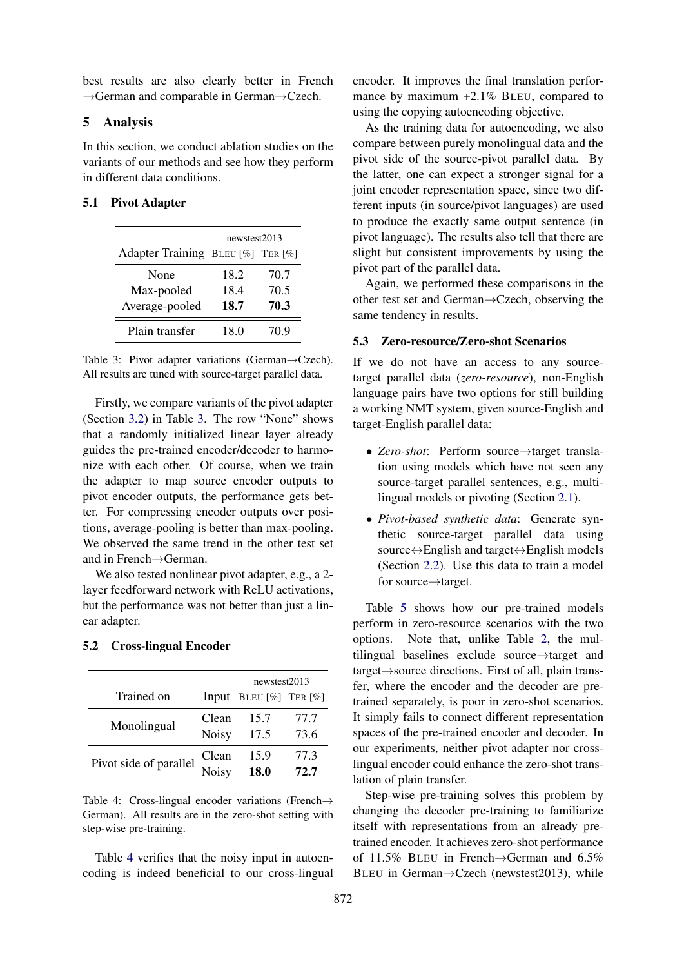best results are also clearly better in French →German and comparable in German→Czech.

## <span id="page-6-0"></span>5 Analysis

In this section, we conduct ablation studies on the variants of our methods and see how they perform in different data conditions.

#### <span id="page-6-1"></span>5.1 Pivot Adapter

|                                   | newstest2013 |      |  |  |  |
|-----------------------------------|--------------|------|--|--|--|
| Adapter Training BLEU [%] TER [%] |              |      |  |  |  |
| None                              | 18.2         | 70.7 |  |  |  |
| Max-pooled                        | 18.4         | 70.5 |  |  |  |
| Average-pooled                    | 18.7         | 70.3 |  |  |  |
| Plain transfer                    | 18.0         | 70.9 |  |  |  |

Table 3: Pivot adapter variations (German→Czech). All results are tuned with source-target parallel data.

Firstly, we compare variants of the pivot adapter (Section [3.2\)](#page-3-0) in Table [3.](#page-6-1) The row "None" shows that a randomly initialized linear layer already guides the pre-trained encoder/decoder to harmonize with each other. Of course, when we train the adapter to map source encoder outputs to pivot encoder outputs, the performance gets better. For compressing encoder outputs over positions, average-pooling is better than max-pooling. We observed the same trend in the other test set and in French→German.

We also tested nonlinear pivot adapter, e.g., a 2layer feedforward network with ReLU activations, but the performance was not better than just a linear adapter.

## 5.2 Cross-lingual Encoder

<span id="page-6-2"></span>

|                        | newstest2013 |                              |      |  |
|------------------------|--------------|------------------------------|------|--|
| Trained on             |              | Input BLEU $[\%]$ TER $[\%]$ |      |  |
| Monolingual            | Clean        | 15.7                         | 77.7 |  |
|                        | <b>Noisy</b> | 17.5                         | 73.6 |  |
| Pivot side of parallel | Clean        | 15.9                         | 77.3 |  |
|                        | Noisy        | 18.0                         | 72.7 |  |

Table 4: Cross-lingual encoder variations (French $\rightarrow$ German). All results are in the zero-shot setting with step-wise pre-training.

Table [4](#page-6-2) verifies that the noisy input in autoencoding is indeed beneficial to our cross-lingual encoder. It improves the final translation performance by maximum +2.1% BLEU, compared to using the copying autoencoding objective.

As the training data for autoencoding, we also compare between purely monolingual data and the pivot side of the source-pivot parallel data. By the latter, one can expect a stronger signal for a joint encoder representation space, since two different inputs (in source/pivot languages) are used to produce the exactly same output sentence (in pivot language). The results also tell that there are slight but consistent improvements by using the pivot part of the parallel data.

Again, we performed these comparisons in the other test set and German→Czech, observing the same tendency in results.

#### 5.3 Zero-resource/Zero-shot Scenarios

If we do not have an access to any sourcetarget parallel data (*zero-resource*), non-English language pairs have two options for still building a working NMT system, given source-English and target-English parallel data:

- *Zero-shot*: Perform source→target translation using models which have not seen any source-target parallel sentences, e.g., multilingual models or pivoting (Section [2](#page-1-0)[.1\)](#page-1-1).
- *Pivot-based synthetic data*: Generate synthetic source-target parallel data using source↔English and target↔English models (Section [2](#page-1-0)[.2\)](#page-1-2). Use this data to train a model for source→target.

Table [5](#page-7-0) shows how our pre-trained models perform in zero-resource scenarios with the two options. Note that, unlike Table [2,](#page-5-0) the multilingual baselines exclude source→target and target→source directions. First of all, plain transfer, where the encoder and the decoder are pretrained separately, is poor in zero-shot scenarios. It simply fails to connect different representation spaces of the pre-trained encoder and decoder. In our experiments, neither pivot adapter nor crosslingual encoder could enhance the zero-shot translation of plain transfer.

Step-wise pre-training solves this problem by changing the decoder pre-training to familiarize itself with representations from an already pretrained encoder. It achieves zero-shot performance of 11.5% BLEU in French→German and 6.5% BLEU in German→Czech (newstest2013), while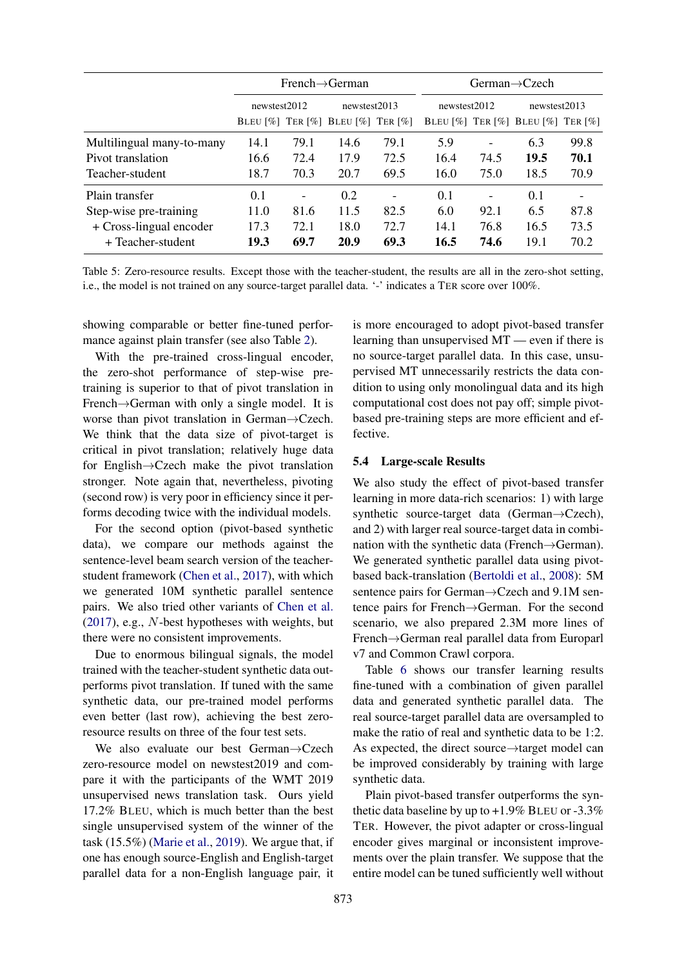<span id="page-7-0"></span>

|                           | $French \rightarrow German$ |                          |                                   |      | $German \rightarrow Czech$ |                          |                                   |      |  |
|---------------------------|-----------------------------|--------------------------|-----------------------------------|------|----------------------------|--------------------------|-----------------------------------|------|--|
|                           | newstest2012                |                          | newstest2013                      |      | newstest2012               |                          | newstest2013                      |      |  |
|                           |                             |                          | BLEU [%] TER [%] BLEU [%] TER [%] |      |                            |                          | BLEU [%] TER [%] BLEU [%] TER [%] |      |  |
| Multilingual many-to-many | 14.1                        | 79.1                     | 14.6                              | 79.1 | 5.9                        | -                        | 6.3                               | 99.8 |  |
| Pivot translation         | 16.6                        | 72.4                     | 17.9                              | 72.5 | 16.4                       | 74.5                     | 19.5                              | 70.1 |  |
| Teacher-student           | 18.7                        | 70.3                     | 20.7                              | 69.5 | 16.0                       | 75.0                     | 18.5                              | 70.9 |  |
| Plain transfer            | 0.1                         | $\overline{\phantom{a}}$ | 0.2                               |      | 0.1                        | $\overline{\phantom{0}}$ | 0.1                               |      |  |
| Step-wise pre-training    | 11.0                        | 81.6                     | 11.5                              | 82.5 | 6.0                        | 92.1                     | 6.5                               | 87.8 |  |
| + Cross-lingual encoder   | 17.3                        | 72.1                     | 18.0                              | 72.7 | 14.1                       | 76.8                     | 16.5                              | 73.5 |  |
| + Teacher-student         | 19.3                        | 69.7                     | 20.9                              | 69.3 | 16.5                       | 74.6                     | 19.1                              | 70.2 |  |

Table 5: Zero-resource results. Except those with the teacher-student, the results are all in the zero-shot setting, i.e., the model is not trained on any source-target parallel data. '-' indicates a TER score over 100%.

showing comparable or better fine-tuned performance against plain transfer (see also Table [2\)](#page-5-0).

With the pre-trained cross-lingual encoder, the zero-shot performance of step-wise pretraining is superior to that of pivot translation in French→German with only a single model. It is worse than pivot translation in German→Czech. We think that the data size of pivot-target is critical in pivot translation; relatively huge data for English→Czech make the pivot translation stronger. Note again that, nevertheless, pivoting (second row) is very poor in efficiency since it performs decoding twice with the individual models.

For the second option (pivot-based synthetic data), we compare our methods against the sentence-level beam search version of the teacherstudent framework [\(Chen et al.,](#page-8-1) [2017\)](#page-8-1), with which we generated 10M synthetic parallel sentence pairs. We also tried other variants of [Chen et al.](#page-8-1) [\(2017\)](#page-8-1), e.g., N-best hypotheses with weights, but there were no consistent improvements.

Due to enormous bilingual signals, the model trained with the teacher-student synthetic data outperforms pivot translation. If tuned with the same synthetic data, our pre-trained model performs even better (last row), achieving the best zeroresource results on three of the four test sets.

We also evaluate our best German→Czech zero-resource model on newstest2019 and compare it with the participants of the WMT 2019 unsupervised news translation task. Ours yield 17.2% BLEU, which is much better than the best single unsupervised system of the winner of the task (15.5%) [\(Marie et al.,](#page-9-18) [2019\)](#page-9-18). We argue that, if one has enough source-English and English-target parallel data for a non-English language pair, it

is more encouraged to adopt pivot-based transfer learning than unsupervised MT — even if there is no source-target parallel data. In this case, unsupervised MT unnecessarily restricts the data condition to using only monolingual data and its high computational cost does not pay off; simple pivotbased pre-training steps are more efficient and effective.

#### 5.4 Large-scale Results

We also study the effect of pivot-based transfer learning in more data-rich scenarios: 1) with large synthetic source-target data (German→Czech), and 2) with larger real source-target data in combination with the synthetic data (French→German). We generated synthetic parallel data using pivotbased back-translation [\(Bertoldi et al.,](#page-8-0) [2008\)](#page-8-0): 5M sentence pairs for German→Czech and 9.1M sentence pairs for French→German. For the second scenario, we also prepared 2.3M more lines of French→German real parallel data from Europarl v7 and Common Crawl corpora.

Table [6](#page-8-4) shows our transfer learning results fine-tuned with a combination of given parallel data and generated synthetic parallel data. The real source-target parallel data are oversampled to make the ratio of real and synthetic data to be 1:2. As expected, the direct source→target model can be improved considerably by training with large synthetic data.

Plain pivot-based transfer outperforms the synthetic data baseline by up to  $+1.9\%$  BLEU or  $-3.3\%$ TER. However, the pivot adapter or cross-lingual encoder gives marginal or inconsistent improvements over the plain transfer. We suppose that the entire model can be tuned sufficiently well without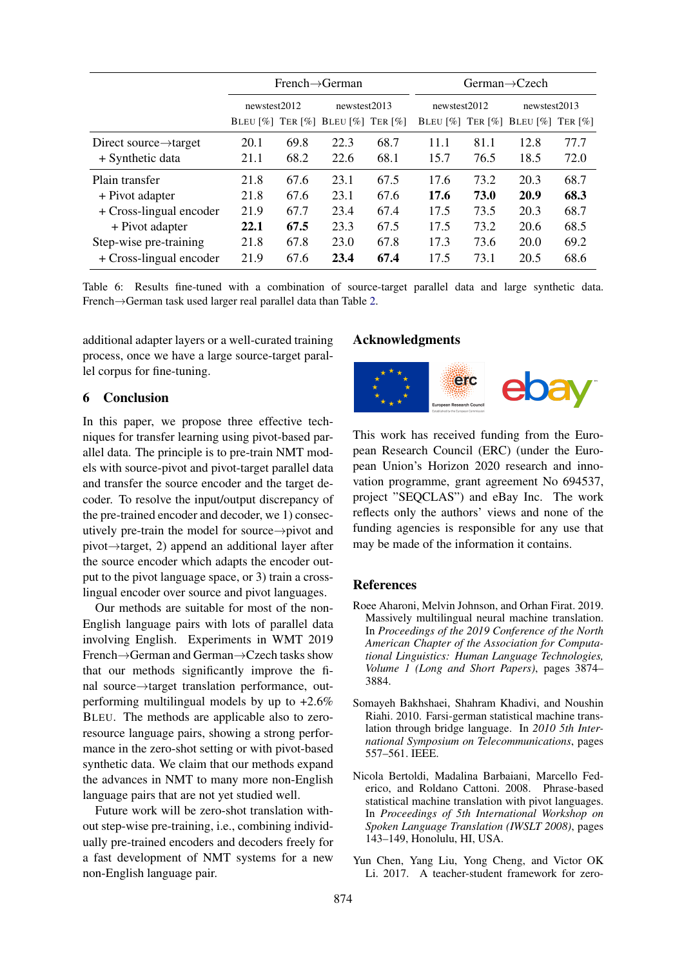<span id="page-8-4"></span>

|                                    | $French \rightarrow German$ |                                                                                               |              |      | German $\rightarrow$ Czech |      |                                                                                               |      |  |
|------------------------------------|-----------------------------|-----------------------------------------------------------------------------------------------|--------------|------|----------------------------|------|-----------------------------------------------------------------------------------------------|------|--|
|                                    | newstest2012                |                                                                                               | newstest2013 |      | newstest2012               |      | newstest2013                                                                                  |      |  |
|                                    |                             | BLEU $\lceil \% \rceil$ TER $\lceil \% \rceil$ BLEU $\lceil \% \rceil$ TER $\lceil \% \rceil$ |              |      |                            |      | BLEU $\lceil \% \rceil$ TER $\lceil \% \rceil$ BLEU $\lceil \% \rceil$ TER $\lceil \% \rceil$ |      |  |
| Direct source $\rightarrow$ target | 20.1                        | 69.8                                                                                          | 22.3         | 68.7 | 11.1                       | 81.1 | 12.8                                                                                          | 77.7 |  |
| + Synthetic data                   | 21.1                        | 68.2                                                                                          | 22.6         | 68.1 | 15.7                       | 76.5 | 18.5                                                                                          | 72.0 |  |
| Plain transfer                     | 21.8                        | 67.6                                                                                          | 23.1         | 67.5 | 17.6                       | 73.2 | 20.3                                                                                          | 68.7 |  |
| + Pivot adapter                    | 21.8                        | 67.6                                                                                          | 23.1         | 67.6 | 17.6                       | 73.0 | 20.9                                                                                          | 68.3 |  |
| + Cross-lingual encoder            | 21.9                        | 67.7                                                                                          | 23.4         | 67.4 | 17.5                       | 73.5 | 20.3                                                                                          | 68.7 |  |
| + Pivot adapter                    | 22.1                        | 67.5                                                                                          | 23.3         | 67.5 | 17.5                       | 73.2 | 20.6                                                                                          | 68.5 |  |
| Step-wise pre-training             | 21.8                        | 67.8                                                                                          | 23.0         | 67.8 | 17.3                       | 73.6 | 20.0                                                                                          | 69.2 |  |
| + Cross-lingual encoder            | 21.9                        | 67.6                                                                                          | 23.4         | 67.4 | 17.5                       | 73.1 | 20.5                                                                                          | 68.6 |  |

Table 6: Results fine-tuned with a combination of source-target parallel data and large synthetic data. French→German task used larger real parallel data than Table [2.](#page-5-0)

additional adapter layers or a well-curated training process, once we have a large source-target parallel corpus for fine-tuning.

## 6 Conclusion

In this paper, we propose three effective techniques for transfer learning using pivot-based parallel data. The principle is to pre-train NMT models with source-pivot and pivot-target parallel data and transfer the source encoder and the target decoder. To resolve the input/output discrepancy of the pre-trained encoder and decoder, we 1) consecutively pre-train the model for source→pivot and pivot→target, 2) append an additional layer after the source encoder which adapts the encoder output to the pivot language space, or 3) train a crosslingual encoder over source and pivot languages.

Our methods are suitable for most of the non-English language pairs with lots of parallel data involving English. Experiments in WMT 2019 French→German and German→Czech tasks show that our methods significantly improve the final source→target translation performance, outperforming multilingual models by up to +2.6% BLEU. The methods are applicable also to zeroresource language pairs, showing a strong performance in the zero-shot setting or with pivot-based synthetic data. We claim that our methods expand the advances in NMT to many more non-English language pairs that are not yet studied well.

Future work will be zero-shot translation without step-wise pre-training, i.e., combining individually pre-trained encoders and decoders freely for a fast development of NMT systems for a new non-English language pair.

#### Acknowledgments



This work has received funding from the European Research Council (ERC) (under the European Union's Horizon 2020 research and innovation programme, grant agreement No 694537, project "SEQCLAS") and eBay Inc. The work reflects only the authors' views and none of the funding agencies is responsible for any use that may be made of the information it contains.

### References

- <span id="page-8-3"></span>Roee Aharoni, Melvin Johnson, and Orhan Firat. 2019. Massively multilingual neural machine translation. In *Proceedings of the 2019 Conference of the North American Chapter of the Association for Computational Linguistics: Human Language Technologies, Volume 1 (Long and Short Papers)*, pages 3874– 3884.
- <span id="page-8-2"></span>Somayeh Bakhshaei, Shahram Khadivi, and Noushin Riahi. 2010. Farsi-german statistical machine translation through bridge language. In *2010 5th International Symposium on Telecommunications*, pages 557–561. IEEE.
- <span id="page-8-0"></span>Nicola Bertoldi, Madalina Barbaiani, Marcello Federico, and Roldano Cattoni. 2008. Phrase-based statistical machine translation with pivot languages. In *Proceedings of 5th International Workshop on Spoken Language Translation (IWSLT 2008)*, pages 143–149, Honolulu, HI, USA.
- <span id="page-8-1"></span>Yun Chen, Yang Liu, Yong Cheng, and Victor OK Li. 2017. A teacher-student framework for zero-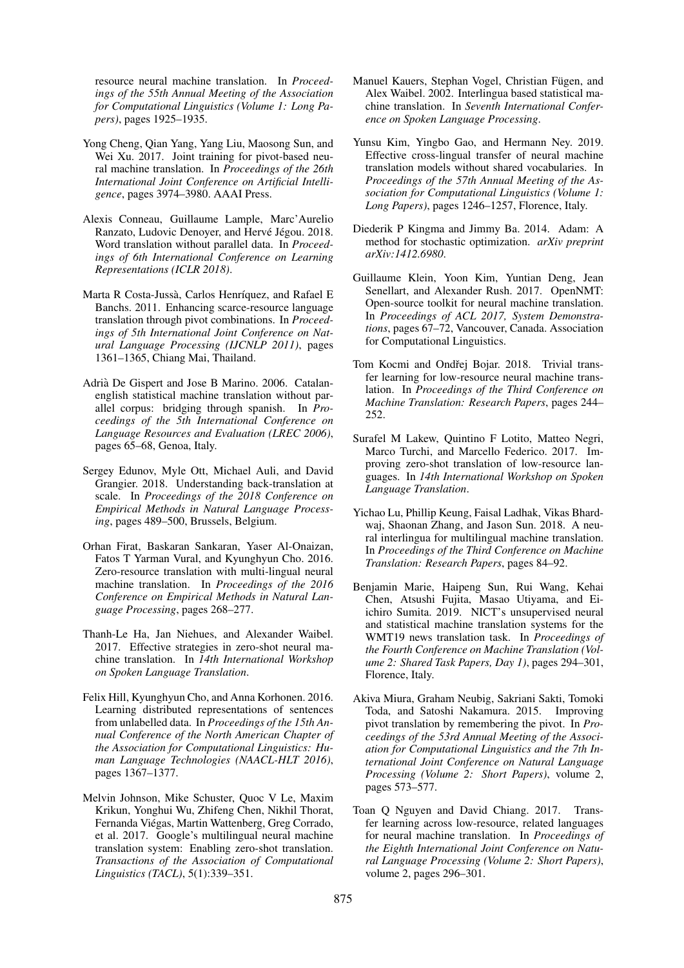resource neural machine translation. In *Proceedings of the 55th Annual Meeting of the Association for Computational Linguistics (Volume 1: Long Papers)*, pages 1925–1935.

- <span id="page-9-6"></span>Yong Cheng, Qian Yang, Yang Liu, Maosong Sun, and Wei Xu. 2017. Joint training for pivot-based neural machine translation. In *Proceedings of the 26th International Joint Conference on Artificial Intelligence*, pages 3974–3980. AAAI Press.
- <span id="page-9-17"></span>Alexis Conneau, Guillaume Lample, Marc'Aurelio Ranzato, Ludovic Denoyer, and Hervé Jégou. 2018. Word translation without parallel data. In *Proceedings of 6th International Conference on Learning Representations (ICLR 2018)*.
- <span id="page-9-4"></span>Marta R Costa-Jussà, Carlos Henríquez, and Rafael E Banchs. 2011. Enhancing scarce-resource language translation through pivot combinations. In *Proceedings of 5th International Joint Conference on Natural Language Processing (IJCNLP 2011)*, pages 1361–1365, Chiang Mai, Thailand.
- <span id="page-9-0"></span>Adrià De Gispert and Jose B Marino. 2006. Catalanenglish statistical machine translation without parallel corpus: bridging through spanish. In *Proceedings of the 5th International Conference on Language Resources and Evaluation (LREC 2006)*, pages 65–68, Genoa, Italy.
- <span id="page-9-14"></span>Sergey Edunov, Myle Ott, Michael Auli, and David Grangier. 2018. Understanding back-translation at scale. In *Proceedings of the 2018 Conference on Empirical Methods in Natural Language Processing*, pages 489–500, Brussels, Belgium.
- <span id="page-9-1"></span>Orhan Firat, Baskaran Sankaran, Yaser Al-Onaizan, Fatos T Yarman Vural, and Kyunghyun Cho. 2016. Zero-resource translation with multi-lingual neural machine translation. In *Proceedings of the 2016 Conference on Empirical Methods in Natural Language Processing*, pages 268–277.
- <span id="page-9-8"></span>Thanh-Le Ha, Jan Niehues, and Alexander Waibel. 2017. Effective strategies in zero-shot neural machine translation. In *14th International Workshop on Spoken Language Translation*.
- <span id="page-9-13"></span>Felix Hill, Kyunghyun Cho, and Anna Korhonen. 2016. Learning distributed representations of sentences from unlabelled data. In *Proceedings of the 15th Annual Conference of the North American Chapter of the Association for Computational Linguistics: Human Language Technologies (NAACL-HLT 2016)*, pages 1367–1377.
- <span id="page-9-2"></span>Melvin Johnson, Mike Schuster, Quoc V Le, Maxim Krikun, Yonghui Wu, Zhifeng Chen, Nikhil Thorat, Fernanda Viegas, Martin Wattenberg, Greg Corrado, ´ et al. 2017. Google's multilingual neural machine translation system: Enabling zero-shot translation. *Transactions of the Association of Computational Linguistics (TACL)*, 5(1):339–351.
- <span id="page-9-3"></span>Manuel Kauers, Stephan Vogel, Christian Fügen, and Alex Waibel. 2002. Interlingua based statistical machine translation. In *Seventh International Conference on Spoken Language Processing*.
- <span id="page-9-12"></span>Yunsu Kim, Yingbo Gao, and Hermann Ney. 2019. Effective cross-lingual transfer of neural machine translation models without shared vocabularies. In *Proceedings of the 57th Annual Meeting of the Association for Computational Linguistics (Volume 1: Long Papers)*, pages 1246–1257, Florence, Italy.
- <span id="page-9-15"></span>Diederik P Kingma and Jimmy Ba. 2014. Adam: A method for stochastic optimization. *arXiv preprint arXiv:1412.6980*.
- <span id="page-9-16"></span>Guillaume Klein, Yoon Kim, Yuntian Deng, Jean Senellart, and Alexander Rush. 2017. OpenNMT: Open-source toolkit for neural machine translation. In *Proceedings of ACL 2017, System Demonstrations*, pages 67–72, Vancouver, Canada. Association for Computational Linguistics.
- <span id="page-9-11"></span>Tom Kocmi and Ondřej Bojar. 2018. Trivial transfer learning for low-resource neural machine translation. In *Proceedings of the Third Conference on Machine Translation: Research Papers*, pages 244– 252.
- <span id="page-9-9"></span>Surafel M Lakew, Quintino F Lotito, Matteo Negri, Marco Turchi, and Marcello Federico. 2017. Improving zero-shot translation of low-resource languages. In *14th International Workshop on Spoken Language Translation*.
- <span id="page-9-7"></span>Yichao Lu, Phillip Keung, Faisal Ladhak, Vikas Bhardwaj, Shaonan Zhang, and Jason Sun. 2018. A neural interlingua for multilingual machine translation. In *Proceedings of the Third Conference on Machine Translation: Research Papers*, pages 84–92.
- <span id="page-9-18"></span>Benjamin Marie, Haipeng Sun, Rui Wang, Kehai Chen, Atsushi Fujita, Masao Utiyama, and Eiichiro Sumita. 2019. NICT's unsupervised neural and statistical machine translation systems for the WMT19 news translation task. In *Proceedings of the Fourth Conference on Machine Translation (Volume 2: Shared Task Papers, Day 1)*, pages 294–301, Florence, Italy.
- <span id="page-9-5"></span>Akiva Miura, Graham Neubig, Sakriani Sakti, Tomoki Toda, and Satoshi Nakamura. 2015. Improving pivot translation by remembering the pivot. In *Proceedings of the 53rd Annual Meeting of the Association for Computational Linguistics and the 7th International Joint Conference on Natural Language Processing (Volume 2: Short Papers)*, volume 2, pages 573–577.
- <span id="page-9-10"></span>Toan Q Nguyen and David Chiang. 2017. Transfer learning across low-resource, related languages for neural machine translation. In *Proceedings of the Eighth International Joint Conference on Natural Language Processing (Volume 2: Short Papers)*, volume 2, pages 296–301.